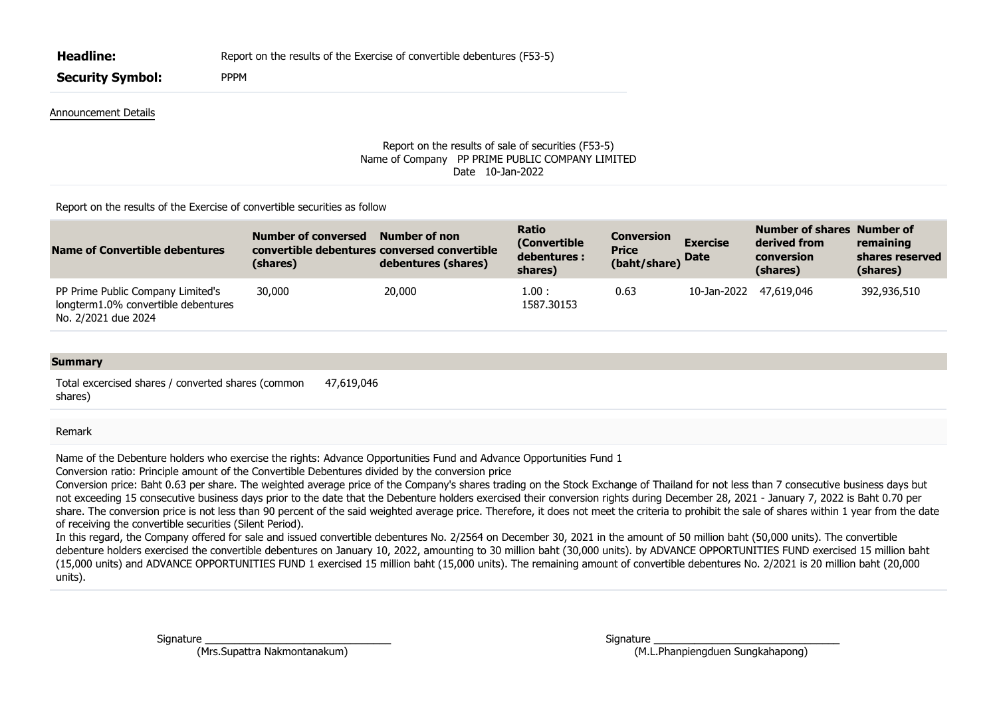| <b>Headline:</b>        | Report on the results of the Exercise of convertible debentures (F53-5) |
|-------------------------|-------------------------------------------------------------------------|
| <b>Security Symbol:</b> | <b>PPPM</b>                                                             |
| Announcement Details    |                                                                         |

## Report on the results of sale of securities (F53-5) Name of Company PP PRIME PUBLIC COMPANY LIMITED Date 10-Jan-2022

## Report on the results of the Exercise of convertible securities as follow

| Name of Convertible debentures                                                                  | Number of conversed<br>convertible debentures conversed convertible<br>(shares) | Number of non<br>debentures (shares) | <b>Ratio</b><br>(Convertible)<br>debentures :<br>shares) | <b>Conversion</b><br><b>Price</b><br>(baht/share) | <b>Exercise</b><br><b>Date</b> | Number of shares Number of<br>derived from<br>conversion<br>(shares) | remaining<br>shares reserved<br>(shares) |
|-------------------------------------------------------------------------------------------------|---------------------------------------------------------------------------------|--------------------------------------|----------------------------------------------------------|---------------------------------------------------|--------------------------------|----------------------------------------------------------------------|------------------------------------------|
| PP Prime Public Company Limited's<br>longterm1.0% convertible debentures<br>No. 2/2021 due 2024 | 30,000                                                                          | 20,000                               | 1.00 :<br>1587.30153                                     | 0.63                                              | 10-Jan-2022 47,619,046         |                                                                      | 392,936,510                              |

## **Summary**

Total excercised shares / converted shares (common shares) 47,619,046

## Remark

Name of the Debenture holders who exercise the rights: Advance Opportunities Fund and Advance Opportunities Fund 1

Conversion ratio: Principle amount of the Convertible Debentures divided by the conversion price

Conversion price: Baht 0.63 per share. The weighted average price of the Company's shares trading on the Stock Exchange of Thailand for not less than 7 consecutive business days but not exceeding 15 consecutive business days prior to the date that the Debenture holders exercised their conversion rights during December 28, 2021 - January 7, 2022 is Baht 0.70 per share. The conversion price is not less than 90 percent of the said weighted average price. Therefore, it does not meet the criteria to prohibit the sale of shares within 1 year from the date of receiving the convertible securities (Silent Period).

In this regard, the Company offered for sale and issued convertible debentures No. 2/2564 on December 30, 2021 in the amount of 50 million baht (50,000 units). The convertible debenture holders exercised the convertible debentures on January 10, 2022, amounting to 30 million baht (30,000 units). by ADVANCE OPPORTUNITIES FUND exercised 15 million baht (15,000 units) and ADVANCE OPPORTUNITIES FUND 1 exercised 15 million baht (15,000 units). The remaining amount of convertible debentures No. 2/2021 is 20 million baht (20,000 units).